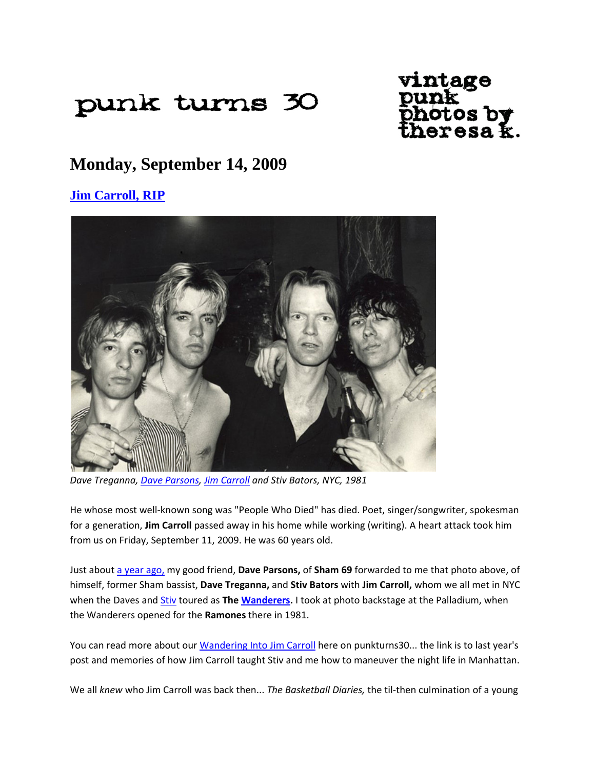# punk turns 30

# vintage otos by<br>eresa k.

## **Monday, September 14, 2009**

### **Jim Carroll, RIP**



*Dave Treganna, Dave Parsons, Jim Carroll and Stiv Bators, NYC, 1981*

He whose most well‐known song was "People Who Died" has died. Poet, singer/songwriter, spokesman for a generation, **Jim Carroll** passed away in his home while working (writing). A heart attack took him from us on Friday, September 11, 2009. He was 60 years old.

Just about a year ago, my good friend, **Dave Parsons,** of **Sham 69** forwarded to me that photo above, of himself, former Sham bassist, **Dave Treganna,** and **Stiv Bators** with **Jim Carroll,** whom we all met in NYC when the Daves and Stiv toured as **The Wanderers.** I took at photo backstage at the Palladium, when the Wanderers opened for the **Ramones** there in 1981.

You can read more about our Wandering Into Jim Carroll here on punkturns30... the link is to last year's post and memories of how Jim Carroll taught Stiv and me how to maneuver the night life in Manhattan.

We all *knew* who Jim Carroll was back then... *The Basketball Diaries,* the til‐then culmination of a young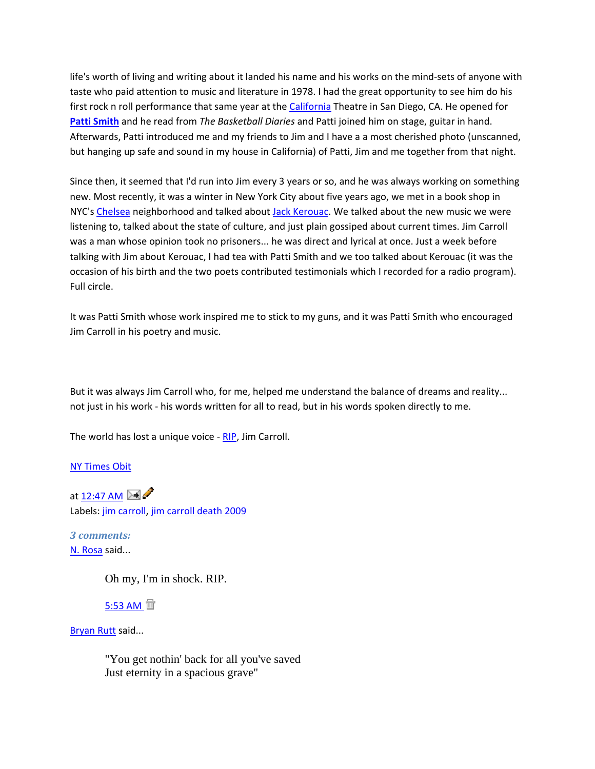life's worth of living and writing about it landed his name and his works on the mind‐sets of anyone with taste who paid attention to music and literature in 1978. I had the great opportunity to see him do his first rock n roll performance that same year at the California Theatre in San Diego, CA. He opened for **Patti Smith** and he read from *The Basketball Diaries* and Patti joined him on stage, guitar in hand. Afterwards, Patti introduced me and my friends to Jim and I have a a most cherished photo (unscanned, but hanging up safe and sound in my house in California) of Patti, Jim and me together from that night.

Since then, it seemed that I'd run into Jim every 3 years or so, and he was always working on something new. Most recently, it was a winter in New York City about five years ago, we met in a book shop in NYC's Chelsea neighborhood and talked about Jack Kerouac. We talked about the new music we were listening to, talked about the state of culture, and just plain gossiped about current times. Jim Carroll was a man whose opinion took no prisoners... he was direct and lyrical at once. Just a week before talking with Jim about Kerouac, I had tea with Patti Smith and we too talked about Kerouac (it was the occasion of his birth and the two poets contributed testimonials which I recorded for a radio program). Full circle.

It was Patti Smith whose work inspired me to stick to my guns, and it was Patti Smith who encouraged Jim Carroll in his poetry and music.

But it was always Jim Carroll who, for me, helped me understand the balance of dreams and reality... not just in his work ‐ his words written for all to read, but in his words spoken directly to me.

The world has lost a unique voice - RIP, Jim Carroll.

NY Times Obit

at 12:47 AM  $\mathbb{R}$ Labels: jim carroll, jim carroll death 2009

*3 comments:*  N. Rosa said...

Oh my, I'm in shock. RIP.

5:53 AM <sup>面</sup>

Bryan Rutt said...

"You get nothin' back for all you've saved Just eternity in a spacious grave"